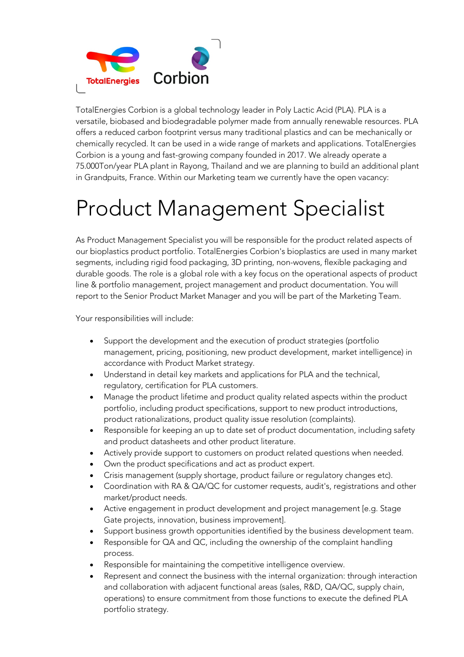

TotalEnergies Corbion is a global technology leader in Poly Lactic Acid (PLA). PLA is a versatile, biobased and biodegradable polymer made from annually renewable resources. PLA offers a reduced carbon footprint versus many traditional plastics and can be mechanically or chemically recycled. It can be used in a wide range of markets and applications. TotalEnergies Corbion is a young and fast-growing company founded in 2017. We already operate a 75.000Ton/year PLA plant in Rayong, Thailand and we are planning to build an additional plant in Grandpuits, France. Within our Marketing team we currently have the open vacancy:

## Product Management Specialist

As Product Management Specialist you will be responsible for the product related aspects of our bioplastics product portfolio. TotalEnergies Corbion's bioplastics are used in many market segments, including rigid food packaging, 3D printing, non-wovens, flexible packaging and durable goods. The role is a global role with a key focus on the operational aspects of product line & portfolio management, project management and product documentation. You will report to the Senior Product Market Manager and you will be part of the Marketing Team.

Your responsibilities will include:

- Support the development and the execution of product strategies (portfolio management, pricing, positioning, new product development, market intelligence) in accordance with Product Market strategy.
- Understand in detail key markets and applications for PLA and the technical, regulatory, certification for PLA customers.
- Manage the product lifetime and product quality related aspects within the product portfolio, including product specifications, support to new product introductions, product rationalizations, product quality issue resolution (complaints).
- Responsible for keeping an up to date set of product documentation, including safety and product datasheets and other product literature.
- Actively provide support to customers on product related questions when needed.
- Own the product specifications and act as product expert.
- Crisis management (supply shortage, product failure or regulatory changes etc).
- Coordination with RA & QA/QC for customer requests, audit's, registrations and other market/product needs.
- Active engagement in product development and project management [e.g. Stage Gate projects, innovation, business improvement].
- Support business growth opportunities identified by the business development team.
- Responsible for QA and QC, including the ownership of the complaint handling process.
- Responsible for maintaining the competitive intelligence overview.
- Represent and connect the business with the internal organization: through interaction and collaboration with adjacent functional areas (sales, R&D, QA/QC, supply chain, operations) to ensure commitment from those functions to execute the defined PLA portfolio strategy.